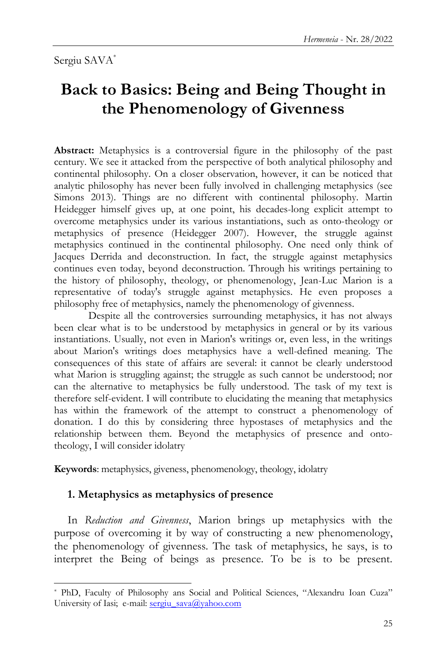# **Back to Basics: Being and Being Thought in the Phenomenology of Givenness**

**Abstract:** Metaphysics is a controversial figure in the philosophy of the past century. We see it attacked from the perspective of both analytical philosophy and continental philosophy. On a closer observation, however, it can be noticed that analytic philosophy has never been fully involved in challenging metaphysics (see Simons 2013). Things are no different with continental philosophy. Martin Heidegger himself gives up, at one point, his decades-long explicit attempt to overcome metaphysics under its various instantiations, such as onto-theology or metaphysics of presence (Heidegger 2007). However, the struggle against metaphysics continued in the continental philosophy. One need only think of Jacques Derrida and deconstruction. In fact, the struggle against metaphysics continues even today, beyond deconstruction. Through his writings pertaining to the history of philosophy, theology, or phenomenology, Jean-Luc Marion is a representative of today's struggle against metaphysics. He even proposes a philosophy free of metaphysics, namely the phenomenology of givenness.

Despite all the controversies surrounding metaphysics, it has not always been clear what is to be understood by metaphysics in general or by its various instantiations. Usually, not even in Marion's writings or, even less, in the writings about Marion's writings does metaphysics have a well-defined meaning. The consequences of this state of affairs are several: it cannot be clearly understood what Marion is struggling against; the struggle as such cannot be understood; nor can the alternative to metaphysics be fully understood. The task of my text is therefore self-evident. I will contribute to elucidating the meaning that metaphysics has within the framework of the attempt to construct a phenomenology of donation. I do this by considering three hypostases of metaphysics and the relationship between them. Beyond the metaphysics of presence and ontotheology, I will consider idolatry

**Keywords**: metaphysics, giveness, phenomenology, theology, idolatry

## **1. Metaphysics as metaphysics of presence**

l

In *Reduction and Givenness*, Marion brings up metaphysics with the purpose of overcoming it by way of constructing a new phenomenology, the phenomenology of givenness. The task of metaphysics, he says, is to interpret the Being of beings as presence. To be is to be present.

<sup>\*</sup> PhD, Faculty of Philosophy ans Social and Political Sciences, "Alexandru Ioan Cuza" University of Iasi; e-mail: [sergiu\\_sava@yahoo.com](mailto:sergiu_sava@yahoo.com)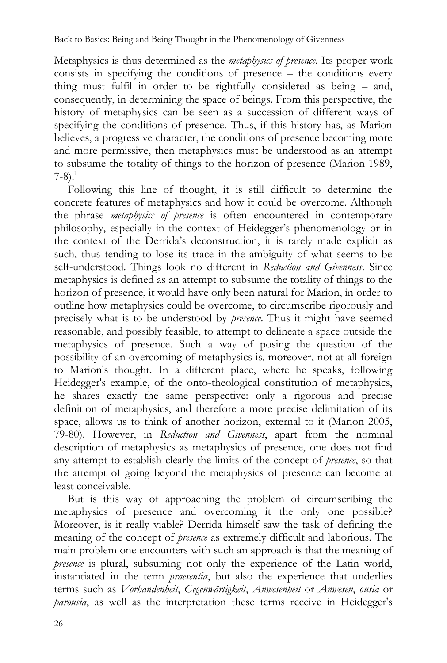Metaphysics is thus determined as the *metaphysics of presence*. Its proper work consists in specifying the conditions of presence – the conditions every thing must fulfil in order to be rightfully considered as being – and, consequently, in determining the space of beings. From this perspective, the history of metaphysics can be seen as a succession of different ways of specifying the conditions of presence. Thus, if this history has, as Marion believes, a progressive character, the conditions of presence becoming more and more permissive, then metaphysics must be understood as an attempt to subsume the totality of things to the horizon of presence (Marion 1989,  $7-8$ ).<sup>1</sup>

Following this line of thought, it is still difficult to determine the concrete features of metaphysics and how it could be overcome. Although the phrase *metaphysics of presence* is often encountered in contemporary philosophy, especially in the context of Heidegger"s phenomenology or in the context of the Derrida"s deconstruction, it is rarely made explicit as such, thus tending to lose its trace in the ambiguity of what seems to be self-understood. Things look no different in *Reduction and Givenness*. Since metaphysics is defined as an attempt to subsume the totality of things to the horizon of presence, it would have only been natural for Marion, in order to outline how metaphysics could be overcome, to circumscribe rigorously and precisely what is to be understood by *presence*. Thus it might have seemed reasonable, and possibly feasible, to attempt to delineate a space outside the metaphysics of presence. Such a way of posing the question of the possibility of an overcoming of metaphysics is, moreover, not at all foreign to Marion's thought. In a different place, where he speaks, following Heidegger's example, of the onto-theological constitution of metaphysics, he shares exactly the same perspective: only a rigorous and precise definition of metaphysics, and therefore a more precise delimitation of its space, allows us to think of another horizon, external to it (Marion 2005, 79-80). However, in *Reduction and Givenness*, apart from the nominal description of metaphysics as metaphysics of presence, one does not find any attempt to establish clearly the limits of the concept of *presence*, so that the attempt of going beyond the metaphysics of presence can become at least conceivable.

But is this way of approaching the problem of circumscribing the metaphysics of presence and overcoming it the only one possible? Moreover, is it really viable? Derrida himself saw the task of defining the meaning of the concept of *presence* as extremely difficult and laborious. The main problem one encounters with such an approach is that the meaning of *presence* is plural, subsuming not only the experience of the Latin world, instantiated in the term *praesentia*, but also the experience that underlies terms such as *Vorhandenheit*, *Gegenwärtigkeit*, *Anwesenheit* or *Anwesen*, *ousia* or *parousia*, as well as the interpretation these terms receive in Heidegger's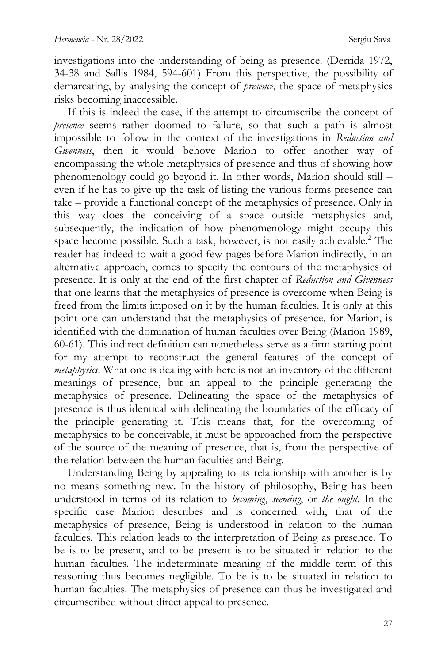investigations into the understanding of being as presence. (Derrida 1972, 34-38 and Sallis 1984, 594-601) From this perspective, the possibility of demarcating, by analysing the concept of *presence*, the space of metaphysics risks becoming inaccessible.

If this is indeed the case, if the attempt to circumscribe the concept of *presence* seems rather doomed to failure, so that such a path is almost impossible to follow in the context of the investigations in *Reduction and Givenness*, then it would behove Marion to offer another way of encompassing the whole metaphysics of presence and thus of showing how phenomenology could go beyond it. In other words, Marion should still – even if he has to give up the task of listing the various forms presence can take – provide a functional concept of the metaphysics of presence. Only in this way does the conceiving of a space outside metaphysics and, subsequently, the indication of how phenomenology might occupy this space become possible. Such a task, however, is not easily achievable.<sup>2</sup> The reader has indeed to wait a good few pages before Marion indirectly, in an alternative approach, comes to specify the contours of the metaphysics of presence. It is only at the end of the first chapter of *Reduction and Givenness* that one learns that the metaphysics of presence is overcome when Being is freed from the limits imposed on it by the human faculties. It is only at this point one can understand that the metaphysics of presence, for Marion, is identified with the domination of human faculties over Being (Marion 1989, 60-61). This indirect definition can nonetheless serve as a firm starting point for my attempt to reconstruct the general features of the concept of *metaphysics*. What one is dealing with here is not an inventory of the different meanings of presence, but an appeal to the principle generating the metaphysics of presence. Delineating the space of the metaphysics of presence is thus identical with delineating the boundaries of the efficacy of the principle generating it. This means that, for the overcoming of metaphysics to be conceivable, it must be approached from the perspective of the source of the meaning of presence, that is, from the perspective of the relation between the human faculties and Being.

Understanding Being by appealing to its relationship with another is by no means something new. In the history of philosophy, Being has been understood in terms of its relation to *becoming*, *seeming*, or *the ought*. In the specific case Marion describes and is concerned with, that of the metaphysics of presence, Being is understood in relation to the human faculties. This relation leads to the interpretation of Being as presence. To be is to be present, and to be present is to be situated in relation to the human faculties. The indeterminate meaning of the middle term of this reasoning thus becomes negligible. To be is to be situated in relation to human faculties. The metaphysics of presence can thus be investigated and circumscribed without direct appeal to presence.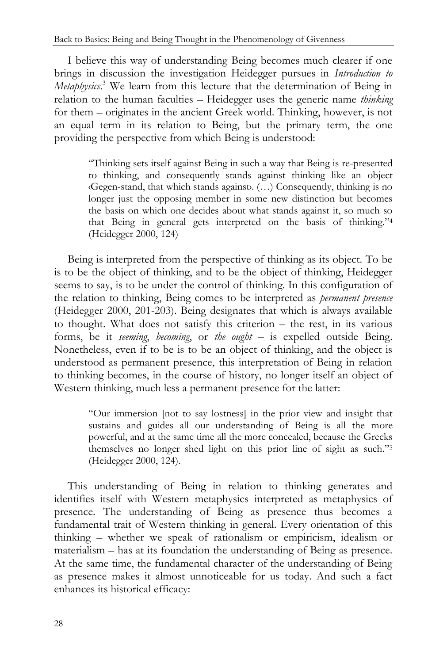I believe this way of understanding Being becomes much clearer if one brings in discussion the investigation Heidegger pursues in *Introduction to Metaphysics*. <sup>3</sup> We learn from this lecture that the determination of Being in relation to the human faculties – Heidegger uses the generic name *thinking* for them – originates in the ancient Greek world. Thinking, however, is not an equal term in its relation to Being, but the primary term, the one providing the perspective from which Being is understood:

> "Thinking sets itself against Being in such a way that Being is re-presented to thinking, and consequently stands against thinking like an object ‹Gegen-stand, that which stands against›. (…) Consequently, thinking is no longer just the opposing member in some new distinction but becomes the basis on which one decides about what stands against it, so much so that Being in general gets interpreted on the basis of thinking."<sup>4</sup> (Heidegger 2000, 124)

Being is interpreted from the perspective of thinking as its object. To be is to be the object of thinking, and to be the object of thinking, Heidegger seems to say, is to be under the control of thinking. In this configuration of the relation to thinking, Being comes to be interpreted as *permanent presence* (Heidegger 2000, 201-203). Being designates that which is always available to thought. What does not satisfy this criterion – the rest, in its various forms, be it *seeming*, *becoming*, or *the ought* – is expelled outside Being. Nonetheless, even if to be is to be an object of thinking, and the object is understood as permanent presence, this interpretation of Being in relation to thinking becomes, in the course of history, no longer itself an object of Western thinking, much less a permanent presence for the latter:

> "Our immersion [not to say lostness] in the prior view and insight that sustains and guides all our understanding of Being is all the more powerful, and at the same time all the more concealed, because the Greeks themselves no longer shed light on this prior line of sight as such."<sup>5</sup> (Heidegger 2000, 124).

This understanding of Being in relation to thinking generates and identifies itself with Western metaphysics interpreted as metaphysics of presence. The understanding of Being as presence thus becomes a fundamental trait of Western thinking in general. Every orientation of this thinking – whether we speak of rationalism or empiricism, idealism or materialism – has at its foundation the understanding of Being as presence. At the same time, the fundamental character of the understanding of Being as presence makes it almost unnoticeable for us today. And such a fact enhances its historical efficacy: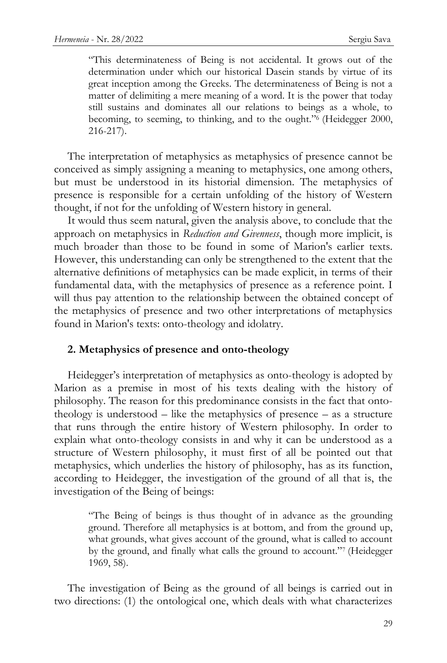"This determinateness of Being is not accidental. It grows out of the determination under which our historical Dasein stands by virtue of its great inception among the Greeks. The determinateness of Being is not a matter of delimiting a mere meaning of a word. It is the power that today still sustains and dominates all our relations to beings as a whole, to becoming, to seeming, to thinking, and to the ought."<sup>6</sup> (Heidegger 2000, 216-217).

The interpretation of metaphysics as metaphysics of presence cannot be conceived as simply assigning a meaning to metaphysics, one among others, but must be understood in its historial dimension. The metaphysics of presence is responsible for a certain unfolding of the history of Western thought, if not for the unfolding of Western history in general.

It would thus seem natural, given the analysis above, to conclude that the approach on metaphysics in *Reduction and Givenness*, though more implicit, is much broader than those to be found in some of Marion's earlier texts. However, this understanding can only be strengthened to the extent that the alternative definitions of metaphysics can be made explicit, in terms of their fundamental data, with the metaphysics of presence as a reference point. I will thus pay attention to the relationship between the obtained concept of the metaphysics of presence and two other interpretations of metaphysics found in Marion's texts: onto-theology and idolatry.

## **2. Metaphysics of presence and onto-theology**

Heidegger's interpretation of metaphysics as onto-theology is adopted by Marion as a premise in most of his texts dealing with the history of philosophy. The reason for this predominance consists in the fact that ontotheology is understood  $-$  like the metaphysics of presence  $-$  as a structure that runs through the entire history of Western philosophy. In order to explain what onto-theology consists in and why it can be understood as a structure of Western philosophy, it must first of all be pointed out that metaphysics, which underlies the history of philosophy, has as its function, according to Heidegger, the investigation of the ground of all that is, the investigation of the Being of beings:

> "The Being of beings is thus thought of in advance as the grounding ground. Therefore all metaphysics is at bottom, and from the ground up, what grounds, what gives account of the ground, what is called to account by the ground, and finally what calls the ground to account."<sup>7</sup> (Heidegger 1969, 58).

The investigation of Being as the ground of all beings is carried out in two directions: (1) the ontological one, which deals with what characterizes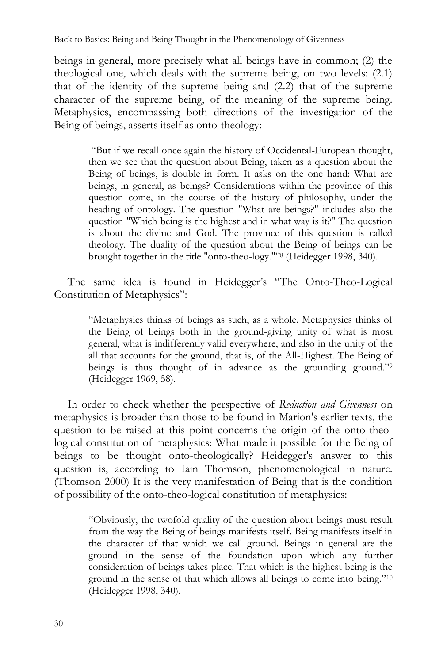beings in general, more precisely what all beings have in common; (2) the theological one, which deals with the supreme being, on two levels: (2.1) that of the identity of the supreme being and (2.2) that of the supreme character of the supreme being, of the meaning of the supreme being. Metaphysics, encompassing both directions of the investigation of the Being of beings, asserts itself as onto-theology:

> "But if we recall once again the history of Occidental-European thought, then we see that the question about Being, taken as a question about the Being of beings, is double in form. It asks on the one hand: What are beings, in general, as beings? Considerations within the province of this question come, in the course of the history of philosophy, under the heading of ontology. The question "What are beings?" includes also the question "Which being is the highest and in what way is it?" The question is about the divine and God. The province of this question is called theology. The duality of the question about the Being of beings can be brought together in the title "onto-theo-logy.""<sup>8</sup> (Heidegger 1998, 340).

The same idea is found in Heidegger's "The Onto-Theo-Logical Constitution of Metaphysics":

> "Metaphysics thinks of beings as such, as a whole. Metaphysics thinks of the Being of beings both in the ground-giving unity of what is most general, what is indifferently valid everywhere, and also in the unity of the all that accounts for the ground, that is, of the All-Highest. The Being of beings is thus thought of in advance as the grounding ground."<sup>9</sup> (Heidegger 1969, 58).

In order to check whether the perspective of *Reduction and Givenness* on metaphysics is broader than those to be found in Marion's earlier texts, the question to be raised at this point concerns the origin of the onto-theological constitution of metaphysics: What made it possible for the Being of beings to be thought onto-theologically? Heidegger's answer to this question is, according to Iain Thomson, phenomenological in nature. (Thomson 2000) It is the very manifestation of Being that is the condition of possibility of the onto-theo-logical constitution of metaphysics:

> "Obviously, the twofold quality of the question about beings must result from the way the Being of beings manifests itself. Being manifests itself in the character of that which we call ground. Beings in general are the ground in the sense of the foundation upon which any further consideration of beings takes place. That which is the highest being is the ground in the sense of that which allows all beings to come into being."<sup>10</sup> (Heidegger 1998, 340).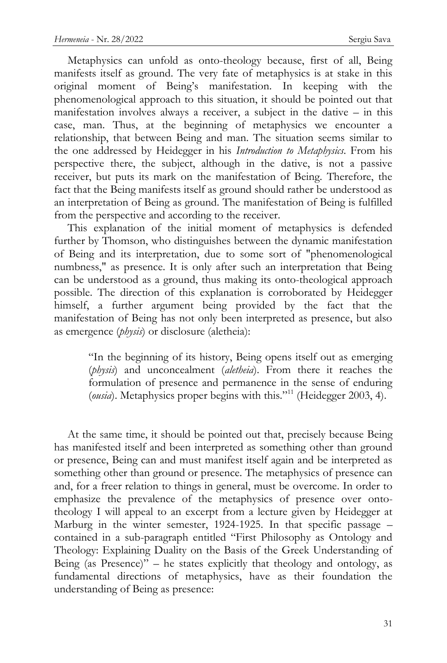Metaphysics can unfold as onto-theology because, first of all, Being manifests itself as ground. The very fate of metaphysics is at stake in this original moment of Being"s manifestation. In keeping with the phenomenological approach to this situation, it should be pointed out that manifestation involves always a receiver, a subject in the dative – in this case, man. Thus, at the beginning of metaphysics we encounter a relationship, that between Being and man. The situation seems similar to the one addressed by Heidegger in his *Introduction to Metaphysics*. From his perspective there, the subject, although in the dative, is not a passive receiver, but puts its mark on the manifestation of Being. Therefore, the fact that the Being manifests itself as ground should rather be understood as an interpretation of Being as ground. The manifestation of Being is fulfilled from the perspective and according to the receiver.

This explanation of the initial moment of metaphysics is defended further by Thomson, who distinguishes between the dynamic manifestation of Being and its interpretation, due to some sort of "phenomenological numbness," as presence. It is only after such an interpretation that Being can be understood as a ground, thus making its onto-theological approach possible. The direction of this explanation is corroborated by Heidegger himself, a further argument being provided by the fact that the manifestation of Being has not only been interpreted as presence, but also as emergence (*physis*) or disclosure (aletheia):

> "In the beginning of its history, Being opens itself out as emerging (*physis*) and unconcealment (*aletheia*). From there it reaches the formulation of presence and permanence in the sense of enduring (*ousia*). Metaphysics proper begins with this."<sup>11</sup> (Heidegger 2003, 4).

At the same time, it should be pointed out that, precisely because Being has manifested itself and been interpreted as something other than ground or presence, Being can and must manifest itself again and be interpreted as something other than ground or presence. The metaphysics of presence can and, for a freer relation to things in general, must be overcome. In order to emphasize the prevalence of the metaphysics of presence over ontotheology I will appeal to an excerpt from a lecture given by Heidegger at Marburg in the winter semester, 1924-1925. In that specific passage – contained in a sub-paragraph entitled "First Philosophy as Ontology and Theology: Explaining Duality on the Basis of the Greek Understanding of Being (as Presence)" – he states explicitly that theology and ontology, as fundamental directions of metaphysics, have as their foundation the understanding of Being as presence: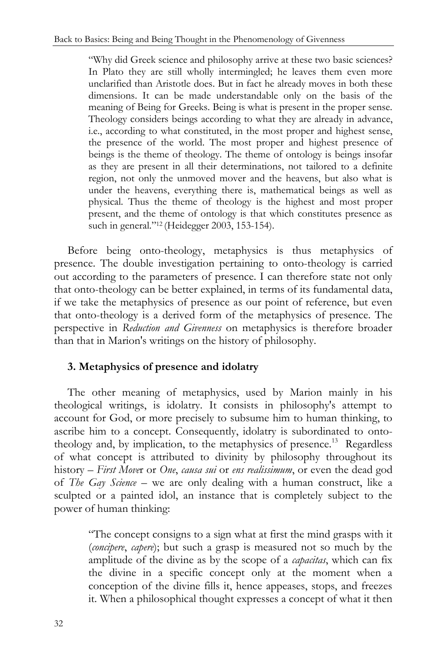"Why did Greek science and philosophy arrive at these two basic sciences? In Plato they are still wholly intermingled; he leaves them even more unclarified than Aristotle does. But in fact he already moves in both these dimensions. It can be made understandable only on the basis of the meaning of Being for Greeks. Being is what is present in the proper sense. Theology considers beings according to what they are already in advance, i.e., according to what constituted, in the most proper and highest sense, the presence of the world. The most proper and highest presence of beings is the theme of theology. The theme of ontology is beings insofar as they are present in all their determinations, not tailored to a definite region, not only the unmoved mover and the heavens, but also what is under the heavens, everything there is, mathematical beings as well as physical. Thus the theme of theology is the highest and most proper present, and the theme of ontology is that which constitutes presence as such in general."<sup>12</sup> (Heidegger 2003, 153-154).

Before being onto-theology, metaphysics is thus metaphysics of presence. The double investigation pertaining to onto-theology is carried out according to the parameters of presence. I can therefore state not only that onto-theology can be better explained, in terms of its fundamental data, if we take the metaphysics of presence as our point of reference, but even that onto-theology is a derived form of the metaphysics of presence. The perspective in *Reduction and Givenness* on metaphysics is therefore broader than that in Marion's writings on the history of philosophy.

# **3. Metaphysics of presence and idolatry**

The other meaning of metaphysics, used by Marion mainly in his theological writings, is idolatry. It consists in philosophy's attempt to account for God, or more precisely to subsume him to human thinking, to ascribe him to a concept. Consequently, idolatry is subordinated to ontotheology and, by implication, to the metaphysics of presence.<sup>13</sup> Regardless of what concept is attributed to divinity by philosophy throughout its history – *First Move*r or *One*, *causa sui* or *ens realissimum*, or even the dead god of *The Gay Science* – we are only dealing with a human construct, like a sculpted or a painted idol, an instance that is completely subject to the power of human thinking:

> "The concept consigns to a sign what at first the mind grasps with it (*concipere*, *capere*); but such a grasp is measured not so much by the amplitude of the divine as by the scope of a *capacitas*, which can fix the divine in a specific concept only at the moment when a conception of the divine fills it, hence appeases, stops, and freezes it. When a philosophical thought expresses a concept of what it then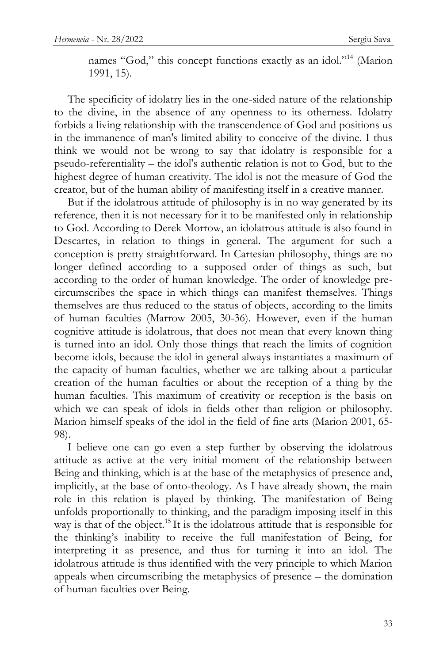names "God," this concept functions exactly as an idol."<sup>14</sup> (Marion 1991, 15).

The specificity of idolatry lies in the one-sided nature of the relationship to the divine, in the absence of any openness to its otherness. Idolatry forbids a living relationship with the transcendence of God and positions us in the immanence of man's limited ability to conceive of the divine. I thus think we would not be wrong to say that idolatry is responsible for a pseudo-referentiality – the idol's authentic relation is not to God, but to the highest degree of human creativity. The idol is not the measure of God the creator, but of the human ability of manifesting itself in a creative manner.

But if the idolatrous attitude of philosophy is in no way generated by its reference, then it is not necessary for it to be manifested only in relationship to God. According to Derek Morrow, an idolatrous attitude is also found in Descartes, in relation to things in general. The argument for such a conception is pretty straightforward. In Cartesian philosophy, things are no longer defined according to a supposed order of things as such, but according to the order of human knowledge. The order of knowledge precircumscribes the space in which things can manifest themselves. Things themselves are thus reduced to the status of objects, according to the limits of human faculties (Marrow 2005, 30-36). However, even if the human cognitive attitude is idolatrous, that does not mean that every known thing is turned into an idol. Only those things that reach the limits of cognition become idols, because the idol in general always instantiates a maximum of the capacity of human faculties, whether we are talking about a particular creation of the human faculties or about the reception of a thing by the human faculties. This maximum of creativity or reception is the basis on which we can speak of idols in fields other than religion or philosophy. Marion himself speaks of the idol in the field of fine arts (Marion 2001, 65- 98).

I believe one can go even a step further by observing the idolatrous attitude as active at the very initial moment of the relationship between Being and thinking, which is at the base of the metaphysics of presence and, implicitly, at the base of onto-theology. As I have already shown, the main role in this relation is played by thinking. The manifestation of Being unfolds proportionally to thinking, and the paradigm imposing itself in this way is that of the object.<sup>15</sup> It is the idolatrous attitude that is responsible for the thinking"s inability to receive the full manifestation of Being, for interpreting it as presence, and thus for turning it into an idol. The idolatrous attitude is thus identified with the very principle to which Marion appeals when circumscribing the metaphysics of presence – the domination of human faculties over Being.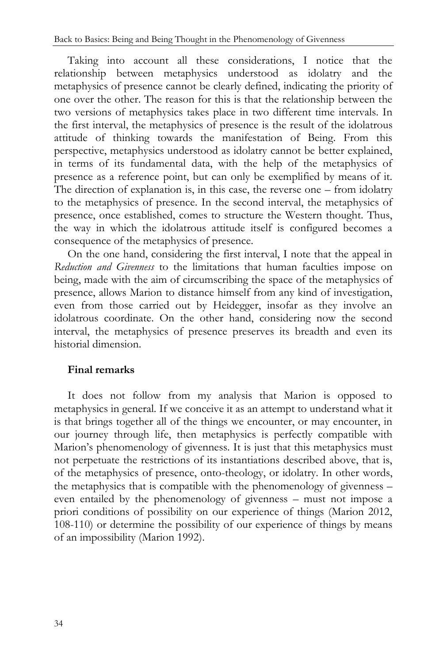Taking into account all these considerations, I notice that the relationship between metaphysics understood as idolatry and the metaphysics of presence cannot be clearly defined, indicating the priority of one over the other. The reason for this is that the relationship between the two versions of metaphysics takes place in two different time intervals. In the first interval, the metaphysics of presence is the result of the idolatrous attitude of thinking towards the manifestation of Being. From this perspective, metaphysics understood as idolatry cannot be better explained, in terms of its fundamental data, with the help of the metaphysics of presence as a reference point, but can only be exemplified by means of it. The direction of explanation is, in this case, the reverse one – from idolatry to the metaphysics of presence. In the second interval, the metaphysics of presence, once established, comes to structure the Western thought. Thus, the way in which the idolatrous attitude itself is configured becomes a consequence of the metaphysics of presence.

On the one hand, considering the first interval, I note that the appeal in *Reduction and Givenness* to the limitations that human faculties impose on being, made with the aim of circumscribing the space of the metaphysics of presence, allows Marion to distance himself from any kind of investigation, even from those carried out by Heidegger, insofar as they involve an idolatrous coordinate. On the other hand, considering now the second interval, the metaphysics of presence preserves its breadth and even its historial dimension.

# **Final remarks**

It does not follow from my analysis that Marion is opposed to metaphysics in general. If we conceive it as an attempt to understand what it is that brings together all of the things we encounter, or may encounter, in our journey through life, then metaphysics is perfectly compatible with Marion"s phenomenology of givenness. It is just that this metaphysics must not perpetuate the restrictions of its instantiations described above, that is, of the metaphysics of presence, onto-theology, or idolatry. In other words, the metaphysics that is compatible with the phenomenology of givenness – even entailed by the phenomenology of givenness – must not impose a priori conditions of possibility on our experience of things (Marion 2012, 108-110) or determine the possibility of our experience of things by means of an impossibility (Marion 1992).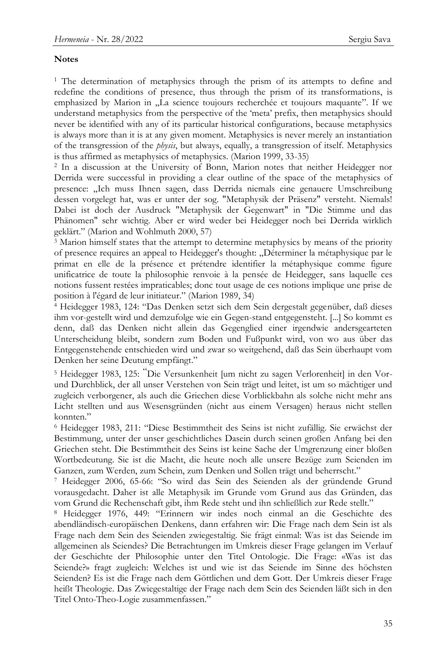#### **Notes**

<sup>1</sup> The determination of metaphysics through the prism of its attempts to define and redefine the conditions of presence, thus through the prism of its transformations, is emphasized by Marion in "La science toujours recherchée et toujours maquante". If we understand metaphysics from the perspective of the "meta" prefix, then metaphysics should never be identified with any of its particular historical configurations, because metaphysics is always more than it is at any given moment. Metaphysics is never merely an instantiation of the transgression of the *physis*, but always, equally, a transgression of itself. Metaphysics is thus affirmed as metaphysics of metaphysics. (Marion 1999, 33-35)

<sup>2</sup> In a discussion at the University of Bonn, Marion notes that neither Heidegger nor Derrida were successful in providing a clear outline of the space of the metaphysics of presence: "Ich muss Ihnen sagen, dass Derrida niemals eine genauere Umschreibung dessen vorgelegt hat, was er unter der sog. "Metaphysik der Präsenz" versteht. Niemals! Dabei ist doch der Ausdruck "Metaphysik der Gegenwart" in "Die Stimme und das Phänomen" sehr wichtig. Aber er wird weder bei Heidegger noch bei Derrida wirklich geklärt." (Marion and Wohlmuth 2000, 57)

<sup>3</sup> Marion himself states that the attempt to determine metaphysics by means of the priority of presence requires an appeal to Heidegger's thought: "Déterminer la métaphysique par le primat en elle de la présence et prétendre identifier la métaphysique comme figure unificatrice de toute la philosophie renvoie à la pensée de Heidegger, sans laquelle ces notions fussent restées impraticables; donc tout usage de ces notions implique une prise de position à l'égard de leur initiateur." (Marion 1989, 34)

<sup>4</sup> Heidegger 1983, 124: "Das Denken setzt sich dem Sein dergestalt gegenüber, daß dieses ihm vor-gestellt wird und demzufolge wie ein Gegen-stand entgegensteht. [...] So kommt es denn, daß das Denken nicht allein das Gegenglied einer irgendwie andersgearteten Unterscheidung bleibt, sondern zum Boden und Fußpunkt wird, von wo aus über das Entgegenstehende entschieden wird und zwar so weitgehend, daß das Sein überhaupt vom Denken her seine Deutung empfängt."

<sup>5</sup> Heidegger 1983, 125: "Die Versunkenheit [um nicht zu sagen Verlorenheit] in den Vorund Durchblick, der all unser Verstehen von Sein trägt und leitet, ist um so mächtiger und zugleich verborgener, als auch die Griechen diese Vorblickbahn als solche nicht mehr ans Licht stellten und aus Wesensgründen (nicht aus einem Versagen) heraus nicht stellen konnten."

<sup>6</sup> Heidegger 1983, 211: "Diese Bestimmtheit des Seins ist nicht zufällig. Sie erwächst der Bestimmung, unter der unser geschichtliches Dasein durch seinen großen Anfang bei den Griechen steht. Die Bestimmtheit des Seins ist keine Sache der Umgrenzung einer bloßen Wortbedeutung. Sie ist die Macht, die heute noch alle unsere Bezüge zum Seienden im Ganzen, zum Werden, zum Schein, zum Denken und Sollen trägt und beherrscht."

<sup>7</sup> Heidegger 2006, 65-66: "So wird das Sein des Seienden als der gründende Grund vorausgedacht. Daher ist alle Metaphysik im Grunde vom Grund aus das Gründen, das vom Grund die Rechenschaft gibt, ihm Rede steht und ihn schließlich zur Rede stellt."

<sup>8</sup> Heidegger 1976, 449: "Erinnern wir indes noch einmal an die Geschichte des abendländisch-europäischen Denkens, dann erfahren wir: Die Frage nach dem Sein ist als Frage nach dem Sein des Seienden zwiegestaltig. Sie frägt einmal: Was ist das Seiende im allgemeinen als Seiendes? Die Betrachtungen im Umkreis dieser Frage gelangen im Verlauf der Geschichte der Philosophie unter den Titel Ontologie. Die Frage: «Was ist das Seiende?» fragt zugleich: Welches ist und wie ist das Seiende im Sinne des höchsten Seienden? Es ist die Frage nach dem Göttlichen und dem Gott. Der Umkreis dieser Frage heißt Theologie. Das Zwiegestaltige der Frage nach dem Sein des Seienden läßt sich in den Titel Onto-Theo-Logie zusammenfassen."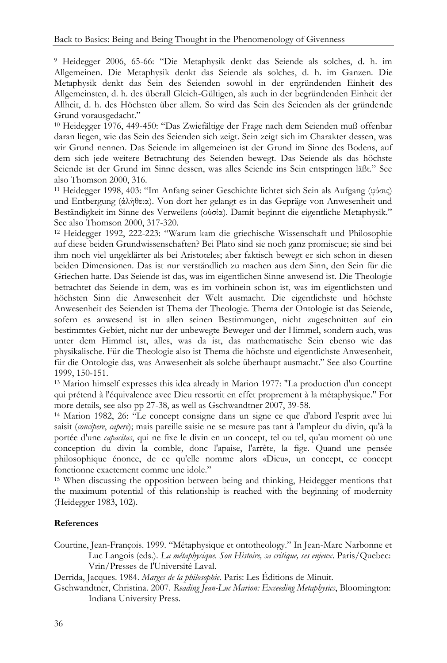<sup>9</sup> Heidegger 2006, 65-66: "Die Metaphysik denkt das Seiende als solches, d. h. im Allgemeinen. Die Metaphysik denkt das Seiende als solches, d. h. im Ganzen. Die Metaphysik denkt das Sein des Seienden sowohl in der ergründenden Einheit des Allgemeinsten, d. h. des überall Gleich-Gültigen, als auch in der begründenden Einheit der Allheit, d. h. des Höchsten über allem. So wird das Sein des Seienden als der gründende Grund vorausgedacht."

<sup>10</sup> Heidegger 1976, 449-450: "Das Zwiefältige der Frage nach dem Seienden muß offenbar daran liegen, wie das Sein des Seienden sich zeigt. Sein zeigt sich im Charakter dessen, was wir Grund nennen. Das Seiende im allgemeinen ist der Grund im Sinne des Bodens, auf dem sich jede weitere Betrachtung des Seienden bewegt. Das Seiende als das höchste Seiende ist der Grund im Sinne dessen, was alles Seiende ins Sein entspringen läßt." See also Thomson 2000, 316.

<sup>11</sup> Heidegger 1998, 403: "Im Anfang seiner Geschichte lichtet sich Sein als Aufgang (φύσις) und Entbergung (άλήθεια). Von dort her gelangt es in das Gepräge von Anwesenheit und Beständigkeit im Sinne des Verweilens (ούσία). Damit beginnt die eigentliche Metaphysik." See also Thomson 2000, 317-320.

<sup>12</sup> Heidegger 1992, 222-223: "Warum kam die griechische Wissenschaft und Philosophie auf diese beiden Grundwissenschaften? Bei Plato sind sie noch ganz promiscue; sie sind bei ihm noch viel ungeklärter als bei Aristoteles; aber faktisch bewegt er sich schon in diesen beiden Dimensionen. Das ist nur verständlich zu machen aus dem Sinn, den Sein für die Griechen hatte. Das Seiende ist das, was im eigentlichen Sinne anwesend ist. Die Theologie betrachtet das Seiende in dem, was es im vorhinein schon ist, was im eigentlichsten und höchsten Sinn die Anwesenheit der Welt ausmacht. Die eigentlichste und höchste Anwesenheit des Seienden ist Thema der Theologie. Thema der Ontologie ist das Seiende, sofern es anwesend ist in allen seinen Bestimmungen, nicht zugeschnitten auf ein bestimmtes Gebiet, nicht nur der unbewegte Beweger und der Himmel, sondern auch, was unter dem Himmel ist, alles, was da ist, das mathematische Sein ebenso wie das physikalische. Für die Theologie also ist Thema die höchste und eigentlichste Anwesenheit, für die Ontologie das, was Anwesenheit als solche überhaupt ausmacht." See also Courtine 1999, 150-151.

<sup>13</sup> Marion himself expresses this idea already in Marion 1977: "La production d'un concept qui prétend à l'équivalence avec Dieu ressortit en effet proprement à la métaphysique." For more details, see also pp 27-38, as well as Gschwandtner 2007, 39-58.

<sup>14</sup> Marion 1982, 26: "Le concept consigne dans un signe ce que d'abord l'esprit avec lui saisit (*concipere*, *capere*); mais pareille saisie ne se mesure pas tant à l'ampleur du divin, qu'à la portée d'une *capacitas*, qui ne fixe le divin en un concept, tel ou tel, qu'au moment où une conception du divin la comble, donc l'apaise, l'arrête, la fige. Quand une pensée philosophique énonce, de ce qu'elle nomme alors «Dieu», un concept, ce concept fonctionne exactement comme une idole."

<sup>15</sup> When discussing the opposition between being and thinking, Heidegger mentions that the maximum potential of this relationship is reached with the beginning of modernity (Heidegger 1983, 102).

## **References**

Courtine, Jean-François. 1999. "Métaphysique et ontotheology." In Jean-Marc Narbonne et Luc Langois (eds.). *La métaphysique. Son Histoire, sa critique, ses enjeux*. Paris/Quebec: Vrin/Presses de l'Université Laval.

Derrida, Jacques. 1984. *Marges de la philosophie*. Paris: Les Éditions de Minuit.

Gschwandtner, Christina. 2007. *Reading Jean-Luc Marion: Exceeding Metaphysics*, Bloomington: Indiana University Press.